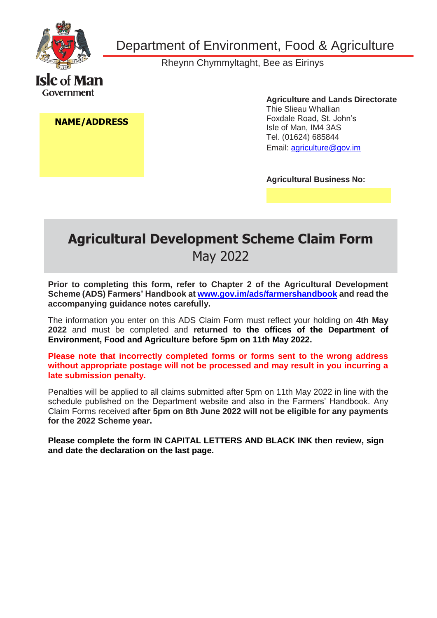

Department of Environment, Food & Agriculture

Rheynn Chymmyltaght, Bee as Eirinys

#### **NAME/ADDRESS**

**Agriculture and Lands Directorate** Thie Slieau Whallian Foxdale Road, St. John's Isle of Man, IM4 3AS Tel. (01624) 685844 [Email: agriculture@gov.im](mailto:agriculture@gov.im) 

**Agricultural Business No:**

## **Agricultural Development Scheme Claim Form** May 2022

**Prior to completing this form, refer to Chapter 2 of the Agricultural Development Scheme (ADS) Farmers' Handbook at [www.gov.im/ads/farmershandbook](http://www.gov.im/ads/farmershandbook) and read the accompanying guidance notes carefully.**

The information you enter on this ADS Claim Form must reflect your holding on **4th May 2022** and must be completed and **returned to the offices of the Department of Environment, Food and Agriculture before 5pm on 11th May 2022.**

**Please note that incorrectly completed forms or forms sent to the wrong address without appropriate postage will not be processed and may result in you incurring a late submission penalty.**

Penalties will be applied to all claims submitted after 5pm on 11th May 2022 in line with the schedule published on the Department website and also in the Farmers' Handbook. Any Claim Forms received **after 5pm on 8th June 2022 will not be eligible for any payments for the 2022 Scheme year.**

**Please complete the form IN CAPITAL LETTERS AND BLACK INK then review, sign and date the declaration on the last page.**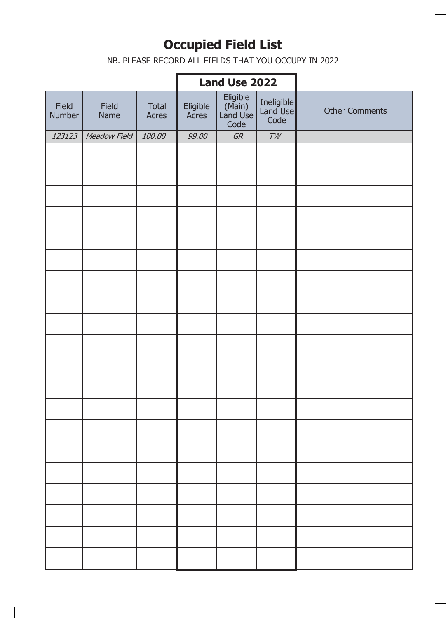# **Occupied Field List**

NB. PLEASE RECORD ALL FIELDS THAT YOU OCCUPY IN 2022

#### SCHEME YEAR **Land Use 2022**

ı

| Field<br>Number | Field<br>Name | Total<br>Acres | Eligible<br>Acres | Eligible<br>(Main)<br>Land Use<br>Code | Ineligible<br>Land Use<br>Code | <b>Other Comments</b> |
|-----------------|---------------|----------------|-------------------|----------------------------------------|--------------------------------|-----------------------|
| 123123          | Meadow Field  | 100.00         | 99.00             | GR                                     | $\mathcal{TW}$                 |                       |
|                 |               |                |                   |                                        |                                |                       |
|                 |               |                |                   |                                        |                                |                       |
|                 |               |                |                   |                                        |                                |                       |
|                 |               |                |                   |                                        |                                |                       |
|                 |               |                |                   |                                        |                                |                       |
|                 |               |                |                   |                                        |                                |                       |
|                 |               |                |                   |                                        |                                |                       |
|                 |               |                |                   |                                        |                                |                       |
|                 |               |                |                   |                                        |                                |                       |
|                 |               |                |                   |                                        |                                |                       |
|                 |               |                |                   |                                        |                                |                       |
|                 |               |                |                   |                                        |                                |                       |
|                 |               |                |                   |                                        |                                |                       |
|                 |               |                |                   |                                        |                                |                       |
|                 |               |                |                   |                                        |                                |                       |
|                 |               |                |                   |                                        |                                |                       |
|                 |               |                |                   |                                        |                                |                       |
|                 |               |                |                   |                                        |                                |                       |
|                 |               |                |                   |                                        |                                |                       |
|                 |               |                |                   |                                        |                                |                       |
|                 |               |                |                   |                                        |                                |                       |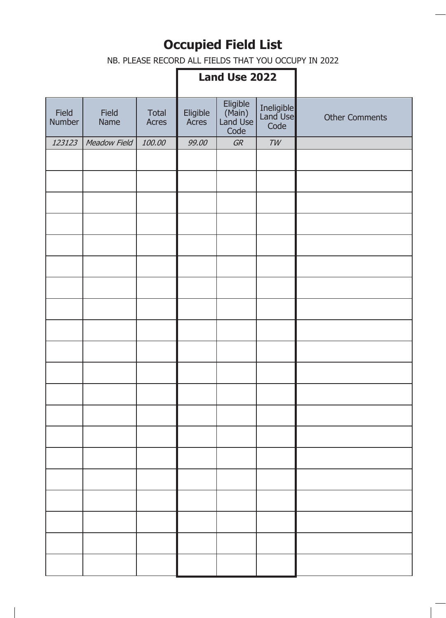# **Occupied Field List**

NB. PLEASE RECORD ALL FIELDS THAT YOU OCCUPY IN 2022

## **Land Use 2022**

| Field<br>Number | Field<br>Name | <b>Total</b><br>Acres | Eligible<br>Acres | Eligible<br>(Main)<br>Land Use<br>Code | Ineligible<br>Land Use<br>Code | <b>Other Comments</b> |
|-----------------|---------------|-----------------------|-------------------|----------------------------------------|--------------------------------|-----------------------|
| 123123          | Meadow Field  | 100.00                | 99.00             | GR                                     | TW                             |                       |
|                 |               |                       |                   |                                        |                                |                       |
|                 |               |                       |                   |                                        |                                |                       |
|                 |               |                       |                   |                                        |                                |                       |
|                 |               |                       |                   |                                        |                                |                       |
|                 |               |                       |                   |                                        |                                |                       |
|                 |               |                       |                   |                                        |                                |                       |
|                 |               |                       |                   |                                        |                                |                       |
|                 |               |                       |                   |                                        |                                |                       |
|                 |               |                       |                   |                                        |                                |                       |
|                 |               |                       |                   |                                        |                                |                       |
|                 |               |                       |                   |                                        |                                |                       |
|                 |               |                       |                   |                                        |                                |                       |
|                 |               |                       |                   |                                        |                                |                       |
|                 |               |                       |                   |                                        |                                |                       |
|                 |               |                       |                   |                                        |                                |                       |
|                 |               |                       |                   |                                        |                                |                       |
|                 |               |                       |                   |                                        |                                |                       |
|                 |               |                       |                   |                                        |                                |                       |
|                 |               |                       |                   |                                        |                                |                       |
|                 |               |                       |                   |                                        |                                |                       |